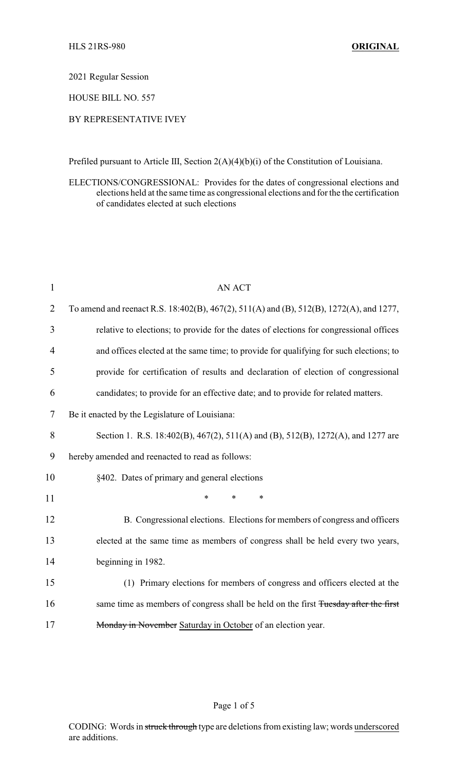2021 Regular Session

HOUSE BILL NO. 557

## BY REPRESENTATIVE IVEY

Prefiled pursuant to Article III, Section 2(A)(4)(b)(i) of the Constitution of Louisiana.

ELECTIONS/CONGRESSIONAL: Provides for the dates of congressional elections and elections held at the same time as congressional elections and for the the certification of candidates elected at such elections

| $\mathbf{1}$ | <b>AN ACT</b>                                                                           |
|--------------|-----------------------------------------------------------------------------------------|
| 2            | To amend and reenact R.S. 18:402(B), 467(2), 511(A) and (B), 512(B), 1272(A), and 1277, |
| 3            | relative to elections; to provide for the dates of elections for congressional offices  |
| 4            | and offices elected at the same time; to provide for qualifying for such elections; to  |
| 5            | provide for certification of results and declaration of election of congressional       |
| 6            | candidates; to provide for an effective date; and to provide for related matters.       |
| 7            | Be it enacted by the Legislature of Louisiana:                                          |
| 8            | Section 1. R.S. 18:402(B), 467(2), 511(A) and (B), 512(B), 1272(A), and 1277 are        |
| 9            | hereby amended and reenacted to read as follows:                                        |
| 10           | §402. Dates of primary and general elections                                            |
| 11           | $\ast$<br>*<br>*                                                                        |
| 12           | B. Congressional elections. Elections for members of congress and officers              |
| 13           | elected at the same time as members of congress shall be held every two years,          |
| 14           | beginning in 1982.                                                                      |
| 15           | (1) Primary elections for members of congress and officers elected at the               |
| 16           | same time as members of congress shall be held on the first Tuesday after the first     |
| 17           | Monday in November Saturday in October of an election year.                             |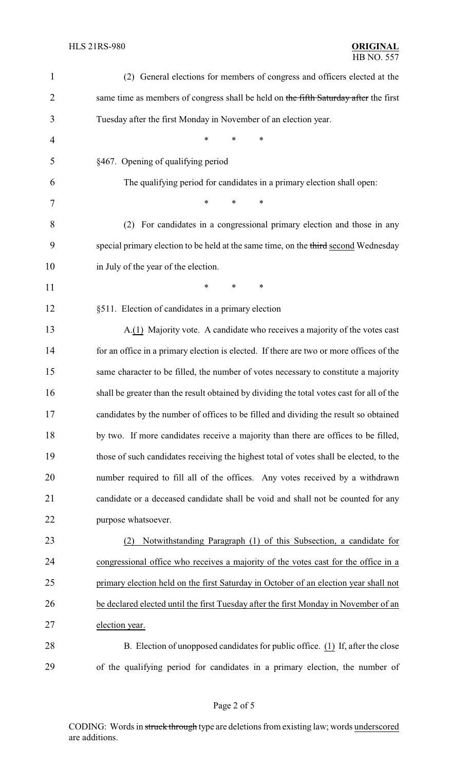| $\mathbf{1}$ | (2) General elections for members of congress and officers elected at the                 |
|--------------|-------------------------------------------------------------------------------------------|
| 2            | same time as members of congress shall be held on the fifth Saturday after the first      |
| 3            | Tuesday after the first Monday in November of an election year.                           |
| 4            | $\ast$<br>*<br>$\ast$                                                                     |
| 5            | §467. Opening of qualifying period                                                        |
| 6            | The qualifying period for candidates in a primary election shall open:                    |
| 7            | *<br>*<br>∗                                                                               |
| 8            | (2) For candidates in a congressional primary election and those in any                   |
| 9            | special primary election to be held at the same time, on the third second Wednesday       |
| 10           | in July of the year of the election.                                                      |
| 11           | $\ast$<br>∗<br>∗                                                                          |
| 12           | §511. Election of candidates in a primary election                                        |
| 13           | A.(1) Majority vote. A candidate who receives a majority of the votes cast                |
| 14           | for an office in a primary election is elected. If there are two or more offices of the   |
| 15           | same character to be filled, the number of votes necessary to constitute a majority       |
| 16           | shall be greater than the result obtained by dividing the total votes cast for all of the |
| 17           | candidates by the number of offices to be filled and dividing the result so obtained      |
| 18           | by two. If more candidates receive a majority than there are offices to be filled,        |
| 19           | those of such candidates receiving the highest total of votes shall be elected, to the    |
| 20           | number required to fill all of the offices. Any votes received by a withdrawn             |
| 21           | candidate or a deceased candidate shall be void and shall not be counted for any          |
| 22           | purpose whatsoever.                                                                       |
| 23           | Notwithstanding Paragraph (1) of this Subsection, a candidate for<br>(2)                  |
| 24           | congressional office who receives a majority of the votes cast for the office in a        |
| 25           | primary election held on the first Saturday in October of an election year shall not      |
| 26           | be declared elected until the first Tuesday after the first Monday in November of an      |
| 27           | election year.                                                                            |
| 28           | B. Election of unopposed candidates for public office. (1) If, after the close            |
| 29           | of the qualifying period for candidates in a primary election, the number of              |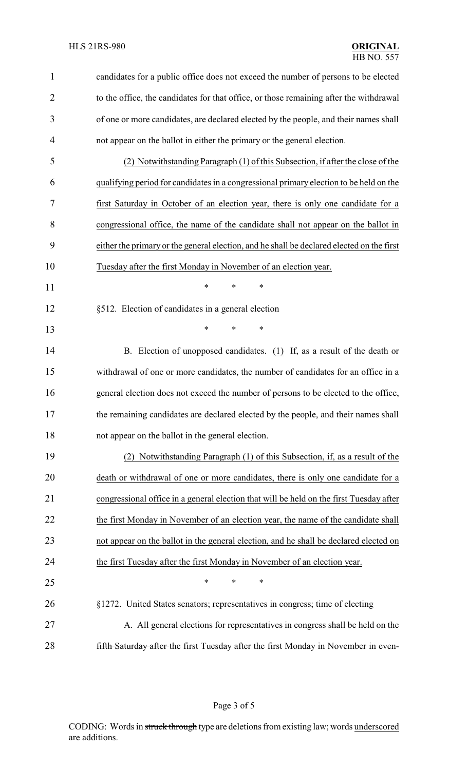| $\mathbf{1}$ | candidates for a public office does not exceed the number of persons to be elected        |
|--------------|-------------------------------------------------------------------------------------------|
| 2            | to the office, the candidates for that office, or those remaining after the withdrawal    |
| 3            | of one or more candidates, are declared elected by the people, and their names shall      |
| 4            | not appear on the ballot in either the primary or the general election.                   |
| 5            | (2) Notwithstanding Paragraph (1) of this Subsection, if after the close of the           |
| 6            | qualifying period for candidates in a congressional primary election to be held on the    |
| 7            | first Saturday in October of an election year, there is only one candidate for a          |
| 8            | congressional office, the name of the candidate shall not appear on the ballot in         |
| 9            | either the primary or the general election, and he shall be declared elected on the first |
| 10           | Tuesday after the first Monday in November of an election year.                           |
| 11           | *<br>$\ast$<br>∗                                                                          |
| 12           | §512. Election of candidates in a general election                                        |
| 13           | $\ast$<br>*<br>*                                                                          |
| 14           | B. Election of unopposed candidates. $(1)$ If, as a result of the death or                |
| 15           | withdrawal of one or more candidates, the number of candidates for an office in a         |
| 16           | general election does not exceed the number of persons to be elected to the office,       |
| 17           | the remaining candidates are declared elected by the people, and their names shall        |
| 18           | not appear on the ballot in the general election.                                         |
| 19           | (2) Notwithstanding Paragraph (1) of this Subsection, if, as a result of the              |
| 20           | death or withdrawal of one or more candidates, there is only one candidate for a          |
| 21           | congressional office in a general election that will be held on the first Tuesday after   |
| 22           | the first Monday in November of an election year, the name of the candidate shall         |
| 23           | not appear on the ballot in the general election, and he shall be declared elected on     |
| 24           | the first Tuesday after the first Monday in November of an election year.                 |
| 25           | $\ast$<br>∗<br>*                                                                          |
| 26           | §1272. United States senators; representatives in congress; time of electing              |
| 27           | A. All general elections for representatives in congress shall be held on the             |
| 28           | fifth Saturday after the first Tuesday after the first Monday in November in even-        |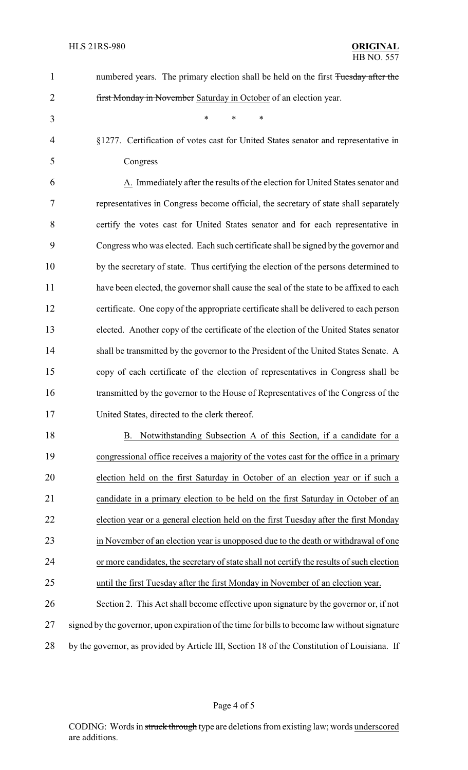| $\mathbf{1}$   | numbered years. The primary election shall be held on the first Tuesday after the             |
|----------------|-----------------------------------------------------------------------------------------------|
| $\overline{2}$ | first Monday in November Saturday in October of an election year.                             |
| 3              | $\ast$<br>∗<br>*                                                                              |
| $\overline{4}$ | §1277. Certification of votes cast for United States senator and representative in            |
| 5              | Congress                                                                                      |
| 6              | A. Immediately after the results of the election for United States senator and                |
| 7              | representatives in Congress become official, the secretary of state shall separately          |
| 8              | certify the votes cast for United States senator and for each representative in               |
| 9              | Congress who was elected. Each such certificate shall be signed by the governor and           |
| 10             | by the secretary of state. Thus certifying the election of the persons determined to          |
| 11             | have been elected, the governor shall cause the seal of the state to be affixed to each       |
| 12             | certificate. One copy of the appropriate certificate shall be delivered to each person        |
| 13             | elected. Another copy of the certificate of the election of the United States senator         |
| 14             | shall be transmitted by the governor to the President of the United States Senate. A          |
| 15             | copy of each certificate of the election of representatives in Congress shall be              |
| 16             | transmitted by the governor to the House of Representatives of the Congress of the            |
| 17             | United States, directed to the clerk thereof.                                                 |
| 18             | B. Notwithstanding Subsection A of this Section, if a candidate for a                         |
| 19             | congressional office receives a majority of the votes cast for the office in a primary        |
| 20             | election held on the first Saturday in October of an election year or if such a               |
| 21             | candidate in a primary election to be held on the first Saturday in October of an             |
| 22             | election year or a general election held on the first Tuesday after the first Monday          |
| 23             | in November of an election year is unopposed due to the death or withdrawal of one            |
| 24             | or more candidates, the secretary of state shall not certify the results of such election     |
| 25             | until the first Tuesday after the first Monday in November of an election year.               |
| 26             | Section 2. This Act shall become effective upon signature by the governor or, if not          |
| 27             | signed by the governor, upon expiration of the time for bills to become law without signature |
| 28             | by the governor, as provided by Article III, Section 18 of the Constitution of Louisiana. If  |
|                |                                                                                               |

Page 4 of 5